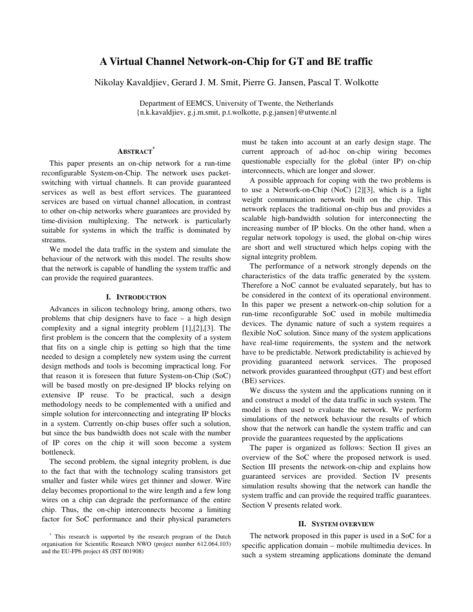# A Virtual Channel Network-on-Chip for GT and BE traffic

Nikolay Kavaldjiev, Gerard J. M. Smit, Pierre G. Jansen, Pascal T. Wolkotte

Department of EEMCS, University of Twente, the Netherlands {n.k.kavaldjiev, g.j.m.smit, p.t.wolkotte, p.g.jansen}@utwente.nl

## **ABSTRACT**

This paper presents an on-chip network for a run-time reconfigurable System-on-Chip. The network uses packetswitching with virtual channels. It can provide guaranteed services as well as best effort services. The guaranteed services are based on virtual channel allocation, in contrast to other on-chip networks where guarantees are provided by time-division multiplexing. The network is particularly suitable for systems in which the traffic is dominated by streams.

We model the data traffic in the system and simulate the behaviour of the network with this model. The results show that the network is capable of handling the system traffic and can provide the required guarantees.

#### I. INTRODUCTION

Advances in silicon technology bring, among others, two problems that chip designers have to face – a high design complexity and a signal integrity problem [1],[2],[3]. The first problem is the concern that the complexity of a system that fits on a single chip is getting so high that the time needed to design a completely new system using the current design methods and tools is becoming impractical long. For that reason it is foreseen that future System-on-Chip (SoC) will be based mostly on pre-designed IP blocks relying on extensive IP reuse. To be practical, such a design methodology needs to be complemented with a unified and simple solution for interconnecting and integrating IP blocks in a system. Currently on-chip buses offer such a solution, but since the bus bandwidth does not scale with the number of IP cores on the chip it will soon become a system bottleneck.

The second problem, the signal integrity problem, is due to the fact that with the technology scaling transistors get smaller and faster while wires get thinner and slower. Wire delay becomes proportional to the wire length and a few long wires on a chip can degrade the performance of the entire chip. Thus, the on-chip interconnects become a limiting factor for SoC performance and their physical parameters must be taken into account at an early design stage. The current approach of ad-hoc on-chip wiring becomes questionable especially for the global (inter IP) on-chip interconnects, which are longer and slower.

A possible approach for coping with the two problems is to use a Network-on-Chip (NoC) [2][3], which is a light weight communication network built on the chip. This network replaces the traditional on-chip bus and provides a scalable high-bandwidth solution for interconnecting the increasing number of IP blocks. On the other hand, when a regular network topology is used, the global on-chip wires are short and well structured which helps coping with the signal integrity problem.

The performance of a network strongly depends on the characteristics of the data traffic generated by the system. Therefore a NoC cannot be evaluated separately, but has to be considered in the context of its operational environment. In this paper we present a network-on-chip solution for a run-time reconfigurable SoC used in mobile multimedia devices. The dynamic nature of such a system requires a flexible NoC solution. Since many of the system applications have real-time requirements, the system and the network have to be predictable. Network predictability is achieved by providing guaranteed network services. The proposed network provides guaranteed throughput (GT) and best effort (BE) services.

We discuss the system and the applications running on it and construct a model of the data traffic in such system. The model is then used to evaluate the network. We perform simulations of the network behaviour the results of which show that the network can handle the system traffic and can provide the guarantees requested by the applications

The paper is organized as follows: Section II gives an overview of the SoC where the proposed network is used. Section III presents the network-on-chip and explains how guaranteed services are provided. Section IV presents simulation results showing that the network can handle the system traffic and can provide the required traffic guarantees. Section V presents related work.

#### II. SYSTEM OVERVIEW

The network proposed in this paper is used in a SoC for a specific application domain – mobile multimedia devices. In such a system streaming applications dominate the demand

<sup>\*</sup> This research is supported by the research program of the Dutch organisation for Scientific Research NWO (project number 612.064.103) and the EU-FP6 project 4S (IST 001908)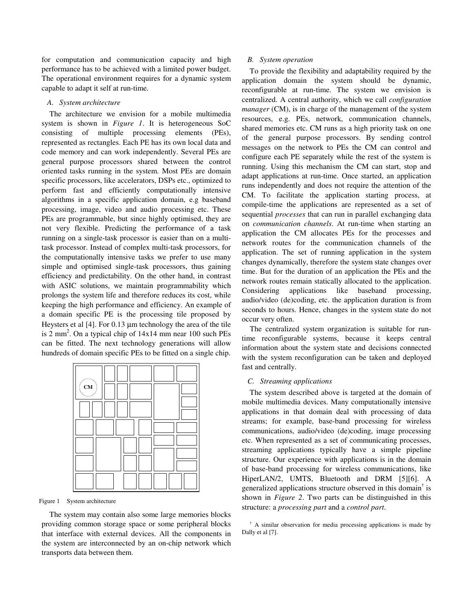for computation and communication capacity and high performance has to be achieved with a limited power budget. The operational environment requires for a dynamic system capable to adapt it self at run-time.

## A. System architecture

The architecture we envision for a mobile multimedia system is shown in Figure 1. It is heterogeneous SoC consisting of multiple processing elements (PEs), represented as rectangles. Each PE has its own local data and code memory and can work independently. Several PEs are general purpose processors shared between the control oriented tasks running in the system. Most PEs are domain specific processors, like accelerators, DSPs etc., optimized to perform fast and efficiently computationally intensive algorithms in a specific application domain, e.g baseband processing, image, video and audio processing etc. These PEs are programmable, but since highly optimised, they are not very flexible. Predicting the performance of a task running on a single-task processor is easier than on a multitask processor. Instead of complex multi-task processors, for the computationally intensive tasks we prefer to use many simple and optimised single-task processors, thus gaining efficiency and predictability. On the other hand, in contrast with ASIC solutions, we maintain programmability which prolongs the system life and therefore reduces its cost, while keeping the high performance and efficiency. An example of a domain specific PE is the processing tile proposed by Heysters et al [4]. For 0.13 µm technology the area of the tile is 2 mm<sup>2</sup>. On a typical chip of  $14x14$  mm near 100 such PEs can be fitted. The next technology generations will allow hundreds of domain specific PEs to be fitted on a single chip.



Figure 1 System architecture

The system may contain also some large memories blocks providing common storage space or some peripheral blocks that interface with external devices. All the components in the system are interconnected by an on-chip network which transports data between them.

## B. System operation

To provide the flexibility and adaptability required by the application domain the system should be dynamic, reconfigurable at run-time. The system we envision is centralized. A central authority, which we call configuration manager (CM), is in charge of the management of the system resources, e.g. PEs, network, communication channels, shared memories etc. CM runs as a high priority task on one of the general purpose processors. By sending control messages on the network to PEs the CM can control and configure each PE separately while the rest of the system is running. Using this mechanism the CM can start, stop and adapt applications at run-time. Once started, an application runs independently and does not require the attention of the CM. To facilitate the application starting process, at compile-time the applications are represented as a set of sequential *processes* that can run in parallel exchanging data on communication channels. At run-time when starting an application the CM allocates PEs for the processes and network routes for the communication channels of the application. The set of running application in the system changes dynamically, therefore the system state changes over time. But for the duration of an application the PEs and the network routes remain statically allocated to the application. Considering applications like baseband processing, audio/video (de)coding, etc. the application duration is from seconds to hours. Hence, changes in the system state do not occur very often.

The centralized system organization is suitable for runtime reconfigurable systems, because it keeps central information about the system state and decisions connected with the system reconfiguration can be taken and deployed fast and centrally.

#### C. Streaming applications

The system described above is targeted at the domain of mobile multimedia devices. Many computationally intensive applications in that domain deal with processing of data streams; for example, base-band processing for wireless communications, audio/video (de)coding, image processing etc. When represented as a set of communicating processes, streaming applications typically have a simple pipeline structure. Our experience with applications is in the domain of base-band processing for wireless communications, like HiperLAN/2, UMTS, Bluetooth and DRM [5][6]. A generalized applications structure observed in this domain<sup>†</sup> is shown in *Figure 2*. Two parts can be distinguished in this structure: a processing part and a control part.

† A similar observation for media processing applications is made by Dally et al [7].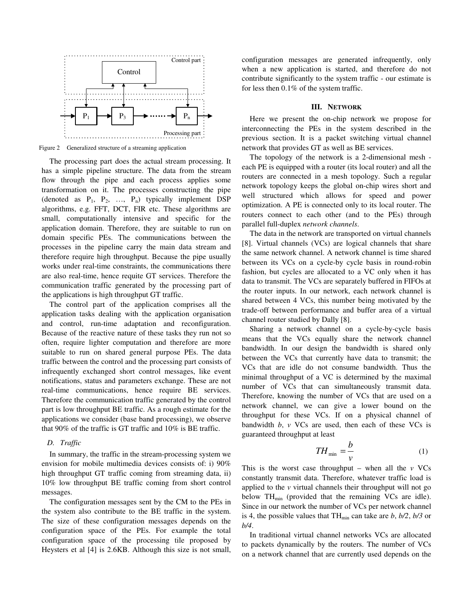

Figure 2 Generalized structure of a streaming application

The processing part does the actual stream processing. It has a simple pipeline structure. The data from the stream flow through the pipe and each process applies some transformation on it. The processes constructing the pipe (denoted as  $P_1$ ,  $P_2$ , ...,  $P_n$ ) typically implement DSP algorithms, e.g. FFT, DCT, FIR etc. These algorithms are small, computationally intensive and specific for the application domain. Therefore, they are suitable to run on domain specific PEs. The communications between the processes in the pipeline carry the main data stream and therefore require high throughput. Because the pipe usually works under real-time constraints, the communications there are also real-time, hence requite GT services. Therefore the communication traffic generated by the processing part of the applications is high throughput GT traffic.

The control part of the application comprises all the application tasks dealing with the application organisation and control, run-time adaptation and reconfiguration. Because of the reactive nature of these tasks they run not so often, require lighter computation and therefore are more suitable to run on shared general purpose PEs. The data traffic between the control and the processing part consists of infrequently exchanged short control messages, like event notifications, status and parameters exchange. These are not real-time communications, hence require BE services. Therefore the communication traffic generated by the control part is low throughput BE traffic. As a rough estimate for the applications we consider (base band processing), we observe that 90% of the traffic is GT traffic and 10% is BE traffic.

## D. Traffic

In summary, the traffic in the stream-processing system we envision for mobile multimedia devices consists of: i) 90% high throughput GT traffic coming from streaming data, ii) 10% low throughput BE traffic coming from short control messages.

The configuration messages sent by the CM to the PEs in the system also contribute to the BE traffic in the system. The size of these configuration messages depends on the configuration space of the PEs. For example the total configuration space of the processing tile proposed by Heysters et al [4] is 2.6KB. Although this size is not small,

configuration messages are generated infrequently, only when a new application is started, and therefore do not contribute significantly to the system traffic - our estimate is for less then 0.1% of the system traffic.

#### III. NETWORK

Here we present the on-chip network we propose for interconnecting the PEs in the system described in the previous section. It is a packet switching virtual channel network that provides GT as well as BE services.

The topology of the network is a 2-dimensional mesh each PE is equipped with a router (its local router) and all the routers are connected in a mesh topology. Such a regular network topology keeps the global on-chip wires short and well structured which allows for speed and power optimization. A PE is connected only to its local router. The routers connect to each other (and to the PEs) through parallel full-duplex network channels.

The data in the network are transported on virtual channels [8]. Virtual channels (VCs) are logical channels that share the same network channel. A network channel is time shared between its VCs on a cycle-by cycle basis in round-robin fashion, but cycles are allocated to a VC only when it has data to transmit. The VCs are separately buffered in FIFOs at the router inputs. In our network, each network channel is shared between 4 VCs, this number being motivated by the trade-off between performance and buffer area of a virtual channel router studied by Dally [8].

Sharing a network channel on a cycle-by-cycle basis means that the VCs equally share the network channel bandwidth. In our design the bandwidth is shared only between the VCs that currently have data to transmit; the VCs that are idle do not consume bandwidth. Thus the minimal throughput of a VC is determined by the maximal number of VCs that can simultaneously transmit data. Therefore, knowing the number of VCs that are used on a network channel, we can give a lower bound on the throughput for these VCs. If on a physical channel of bandwidth  $b$ ,  $v$  VCs are used, then each of these VCs is guaranteed throughput at least

$$
TH_{\min} = \frac{b}{v} \tag{1}
$$

This is the worst case throughput – when all the  $v$  VCs constantly transmit data. Therefore, whatever traffic load is applied to the  $\nu$  virtual channels their throughput will not go below  $TH_{min}$  (provided that the remaining VCs are idle). Since in our network the number of VCs per network channel is 4, the possible values that TH<sub>min</sub> can take are b,  $b/2$ ,  $b/3$  or b/4.

In traditional virtual channel networks VCs are allocated to packets dynamically by the routers. The number of VCs on a network channel that are currently used depends on the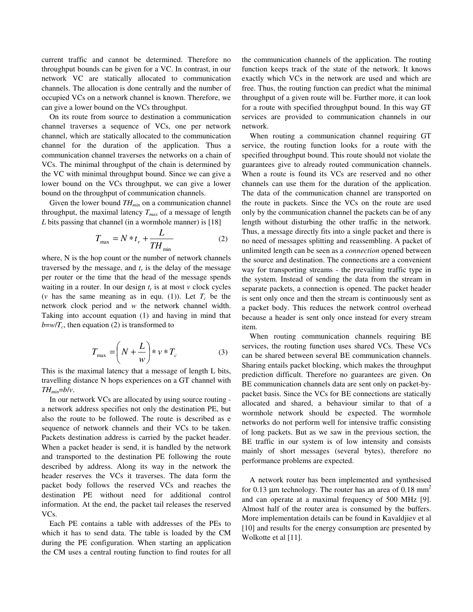current traffic and cannot be determined. Therefore no throughput bounds can be given for a VC. In contrast, in our network VC are statically allocated to communication channels. The allocation is done centrally and the number of occupied VCs on a network channel is known. Therefore, we can give a lower bound on the VCs throughput.

On its route from source to destination a communication channel traverses a sequence of VCs, one per network channel, which are statically allocated to the communication channel for the duration of the application. Thus a communication channel traverses the networks on a chain of VCs. The minimal throughput of the chain is determined by the VC with minimal throughput bound. Since we can give a lower bound on the VCs throughput, we can give a lower bound on the throughput of communication channels.

Given the lower bound  $TH_{min}$  on a communication channel throughput, the maximal latency  $T_{max}$  of a message of length L bits passing that channel (in a wormhole manner) is [18]

$$
T_{\text{max}} = N * t_r + \frac{L}{TH_{\text{min}}}
$$
 (2)

where, N is the hop count or the number of network channels traversed by the message, and  $t_r$  is the delay of the message per router or the time that the head of the message spends waiting in a router. In our design  $t_r$  is at most  $v$  clock cycles (*v* has the same meaning as in equ. (1)). Let  $T_c$  be the network clock period and w the network channel width. Taking into account equation (1) and having in mind that  $b=w/T_c$ , then equation (2) is transformed to

$$
T_{\text{max}} = \left(N + \frac{L}{w}\right) * v * T_c \tag{3}
$$

This is the maximal latency that a message of length L bits, travelling distance N hops experiences on a GT channel with  $TH_{min}=b/v$ .

In our network VCs are allocated by using source routing a network address specifies not only the destination PE, but also the route to be followed. The route is described as e sequence of network channels and their VCs to be taken. Packets destination address is carried by the packet header. When a packet header is send, it is handled by the network and transported to the destination PE following the route described by address. Along its way in the network the header reserves the VCs it traverses. The data form the packet body follows the reserved VCs and reaches the destination PE without need for additional control information. At the end, the packet tail releases the reserved VCs.

Each PE contains a table with addresses of the PEs to which it has to send data. The table is loaded by the CM during the PE configuration. When starting an application the CM uses a central routing function to find routes for all the communication channels of the application. The routing function keeps track of the state of the network. It knows exactly which VCs in the network are used and which are free. Thus, the routing function can predict what the minimal throughput of a given route will be. Further more, it can look for a route with specified throughput bound. In this way GT services are provided to communication channels in our network.

When routing a communication channel requiring GT service, the routing function looks for a route with the specified throughput bound. This route should not violate the guarantees give to already routed communication channels. When a route is found its VCs are reserved and no other channels can use them for the duration of the application. The data of the communication channel are transported on the route in packets. Since the VCs on the route are used only by the communication channel the packets can be of any length without disturbing the other traffic in the network. Thus, a message directly fits into a single packet and there is no need of messages splitting and reassembling. A packet of unlimited length can be seen as a connection opened between the source and destination. The connections are a convenient way for transporting streams - the prevailing traffic type in the system. Instead of sending the data from the stream in separate packets, a connection is opened. The packet header is sent only once and then the stream is continuously sent as a packet body. This reduces the network control overhead because a header is sent only once instead for every stream item.

When routing communication channels requiring BE services, the routing function uses shared VCs. These VCs can be shared between several BE communication channels. Sharing entails packet blocking, which makes the throughput prediction difficult. Therefore no guarantees are given. On BE communication channels data are sent only on packet-bypacket basis. Since the VCs for BE connections are statically allocated and shared, a behaviour similar to that of a wormhole network should be expected. The wormhole networks do not perform well for intensive traffic consisting of long packets. But as we saw in the previous section, the BE traffic in our system is of low intensity and consists mainly of short messages (several bytes), therefore no performance problems are expected.

A network router has been implemented and synthesised for 0.13  $\mu$ m technology. The router has an area of 0.18 mm<sup>2</sup> and can operate at a maximal frequency of 500 MHz [9]. Almost half of the router area is consumed by the buffers. More implementation details can be found in Kavaldjiev et al [10] and results for the energy consumption are presented by Wolkotte et al [11].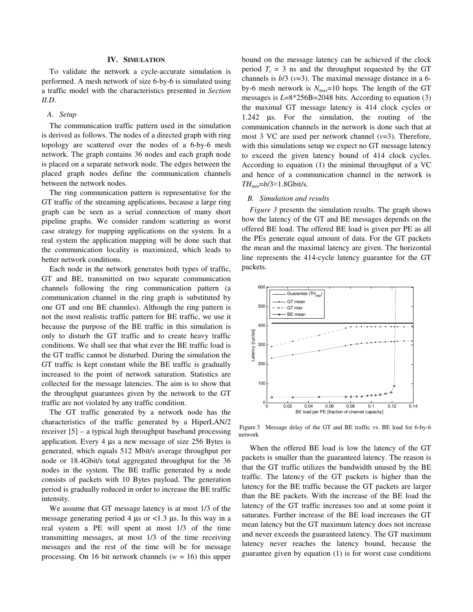## IV. SIMULATION

To validate the network a cycle-accurate simulation is performed. A mesh network of size 6-by-6 is simulated using a traffic model with the characteristics presented in Section II.D.

## A. Setup

The communication traffic pattern used in the simulation is derived as follows. The nodes of a directed graph with ring topology are scattered over the nodes of a 6-by-6 mesh network. The graph contains 36 nodes and each graph node is placed on a separate network node. The edges between the placed graph nodes define the communication channels between the network nodes.

The ring communication pattern is representative for the GT traffic of the streaming applications, because a large ring graph can be seen as a serial connection of many short pipeline graphs. We consider random scattering as worst case strategy for mapping applications on the system. In a real system the application mapping will be done such that the communication locality is maximized, which leads to better network conditions.

Each node in the network generates both types of traffic, GT and BE, transmitted on two separate communication channels following the ring communication pattern (a communication channel in the ring graph is substituted by one GT and one BE channles). Although the ring pattern is not the most realistic traffic pattern for BE traffic, we use it because the purpose of the BE traffic in this simulation is only to disturb the GT traffic and to create heavy traffic conditions. We shall see that what ever the BE traffic load is the GT traffic cannot be disturbed. During the simulation the GT traffic is kept constant while the BE traffic is gradually increased to the point of network saturation. Statistics are collected for the message latencies. The aim is to show that the throughput guarantees given by the network to the GT traffic are not violated by any traffic condition.

The GT traffic generated by a network node has the characteristics of the traffic generated by a HiperLAN/2 receiver [5] – a typical high throughput baseband processing application. Every 4 µs a new message of size 256 Bytes is generated, which equals 512 Mbit/s average throughput per node or 18.4Gbit/s total aggregated throughput for the 36 nodes in the system. The BE traffic generated by a node consists of packets with 10 Bytes payload. The generation period is gradually reduced in order to increase the BE traffic intensity.

We assume that GT message latency is at most 1/3 of the message generating period 4  $\mu$ s or <1.3  $\mu$ s. In this way in a real system a PE will spent at most 1/3 of the time transmitting messages, at most 1/3 of the time receiving messages and the rest of the time will be for message processing. On 16 bit network channels ( $w = 16$ ) this upper

bound on the message latency can be achieved if the clock period  $T_c = 3$  ns and the throughput requested by the GT channels is  $b/3$  ( $v=3$ ). The maximal message distance in a 6by-6 mesh network is  $N_{max}=10$  hops. The length of the GT messages is  $L=8*256B=2048$  bits. According to equation (3) the maximal GT message latency is 414 clock cycles or 1.242 µs. For the simulation, the routing of the communication channels in the network is done such that at most 3 VC are used per network channel  $(v=3)$ . Therefore, with this simulations setup we expect no GT message latency to exceed the given latency bound of 414 clock cycles. According to equation (1) the minimal throughput of a VC and hence of a communication channel in the network is  $TH_{min} = b/3 \approx 1.8$ Gbit/s.

### B. Simulation and results

Figure 3 presents the simulation results. The graph shows how the latency of the GT and BE messages depends on the offered BE load. The offered BE load is given per PE as all the PEs generate equal amount of data. For the GT packets the mean and the maximal latency are given. The horizontal line represents the 414-cycle latency guarantee for the GT packets.



Figure 3 Message delay of the GT and BE traffic vs. BE load for 6-by-6 network

When the offered BE load is low the latency of the GT packets is smaller than the guaranteed latency. The reason is that the GT traffic utilizes the bandwidth unused by the BE traffic. The latency of the GT packets is higher than the latency for the BE traffic because the GT packets are larger than the BE packets. With the increase of the BE load the latency of the GT traffic increases too and at some point it saturates. Further increase of the BE load increases the GT mean latency but the GT maximum latency does not increase and never exceeds the guaranteed latency. The GT maximum latency never reaches the latency bound, because the guarantee given by equation (1) is for worst case conditions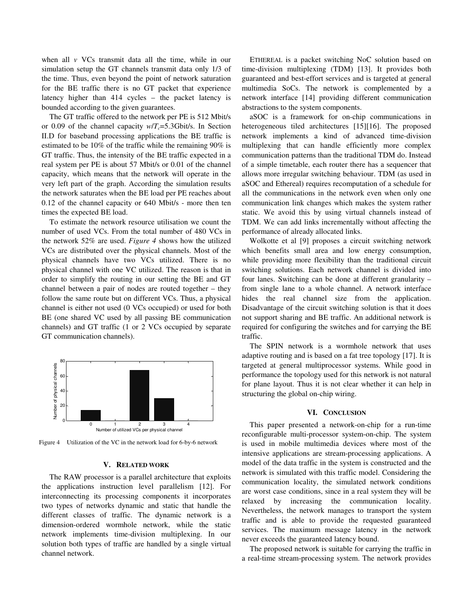when all v VCs transmit data all the time, while in our simulation setup the GT channels transmit data only 1/3 of the time. Thus, even beyond the point of network saturation for the BE traffic there is no GT packet that experience latency higher than 414 cycles – the packet latency is bounded according to the given guarantees.

The GT traffic offered to the network per PE is 512 Mbit/s or 0.09 of the channel capacity  $w/T_c=5.3$ Gbit/s. In Section II.D for baseband processing applications the BE traffic is estimated to be 10% of the traffic while the remaining 90% is GT traffic. Thus, the intensity of the BE traffic expected in a real system per PE is about 57 Mbit/s or 0.01 of the channel capacity, which means that the network will operate in the very left part of the graph. According the simulation results the network saturates when the BE load per PE reaches about 0.12 of the channel capacity or 640 Mbit/s - more then ten times the expected BE load.

To estimate the network resource utilisation we count the number of used VCs. From the total number of 480 VCs in the network 52% are used. Figure 4 shows how the utilized VCs are distributed over the physical channels. Most of the physical channels have two VCs utilized. There is no physical channel with one VC utilized. The reason is that in order to simplify the routing in our setting the BE and GT channel between a pair of nodes are routed together – they follow the same route but on different VCs. Thus, a physical channel is either not used (0 VCs occupied) or used for both BE (one shared VC used by all passing BE communication channels) and GT traffic (1 or 2 VCs occupied by separate GT communication channels).



Figure 4 Utilization of the VC in the network load for 6-by-6 network

## V. RELATED WORK

The RAW processor is a parallel architecture that exploits the applications instruction level parallelism [12]. For interconnecting its processing components it incorporates two types of networks dynamic and static that handle the different classes of traffic. The dynamic network is a dimension-ordered wormhole network, while the static network implements time-division multiplexing. In our solution both types of traffic are handled by a single virtual channel network.

ETHEREAL is a packet switching NoC solution based on time-division multiplexing (TDM) [13]. It provides both guaranteed and best-effort services and is targeted at general multimedia SoCs. The network is complemented by a network interface [14] providing different communication abstractions to the system components.

aSOC is a framework for on-chip communications in heterogeneous tiled architectures [15][16]. The proposed network implements a kind of advanced time-division multiplexing that can handle efficiently more complex communication patterns than the traditional TDM do. Instead of a simple timetable, each router there has a sequencer that allows more irregular switching behaviour. TDM (as used in aSOC and Ethereal) requires recomputation of a schedule for all the communications in the network even when only one communication link changes which makes the system rather static. We avoid this by using virtual channels instead of TDM. We can add links incrementally without affecting the performance of already allocated links.

Wolkotte et al [9] proposes a circuit switching network which benefits small area and low energy consumption, while providing more flexibility than the traditional circuit switching solutions. Each network channel is divided into four lanes. Switching can be done at different granularity – from single lane to a whole channel. A network interface hides the real channel size from the application. Disadvantage of the circuit switching solution is that it does not support sharing and BE traffic. An additional network is required for configuring the switches and for carrying the BE traffic.

The SPIN network is a wormhole network that uses adaptive routing and is based on a fat tree topology [17]. It is targeted at general multiprocessor systems. While good in performance the topology used for this network is not natural for plane layout. Thus it is not clear whether it can help in structuring the global on-chip wiring.

## VI. CONCLUSION

This paper presented a network-on-chip for a run-time reconfigurable multi-processor system-on-chip. The system is used in mobile multimedia devices where most of the intensive applications are stream-processing applications. A model of the data traffic in the system is constructed and the network is simulated with this traffic model. Considering the communication locality, the simulated network conditions are worst case conditions, since in a real system they will be relaxed by increasing the communication locality. Nevertheless, the network manages to transport the system traffic and is able to provide the requested guaranteed services. The maximum message latency in the network never exceeds the guaranteed latency bound.

The proposed network is suitable for carrying the traffic in a real-time stream-processing system. The network provides